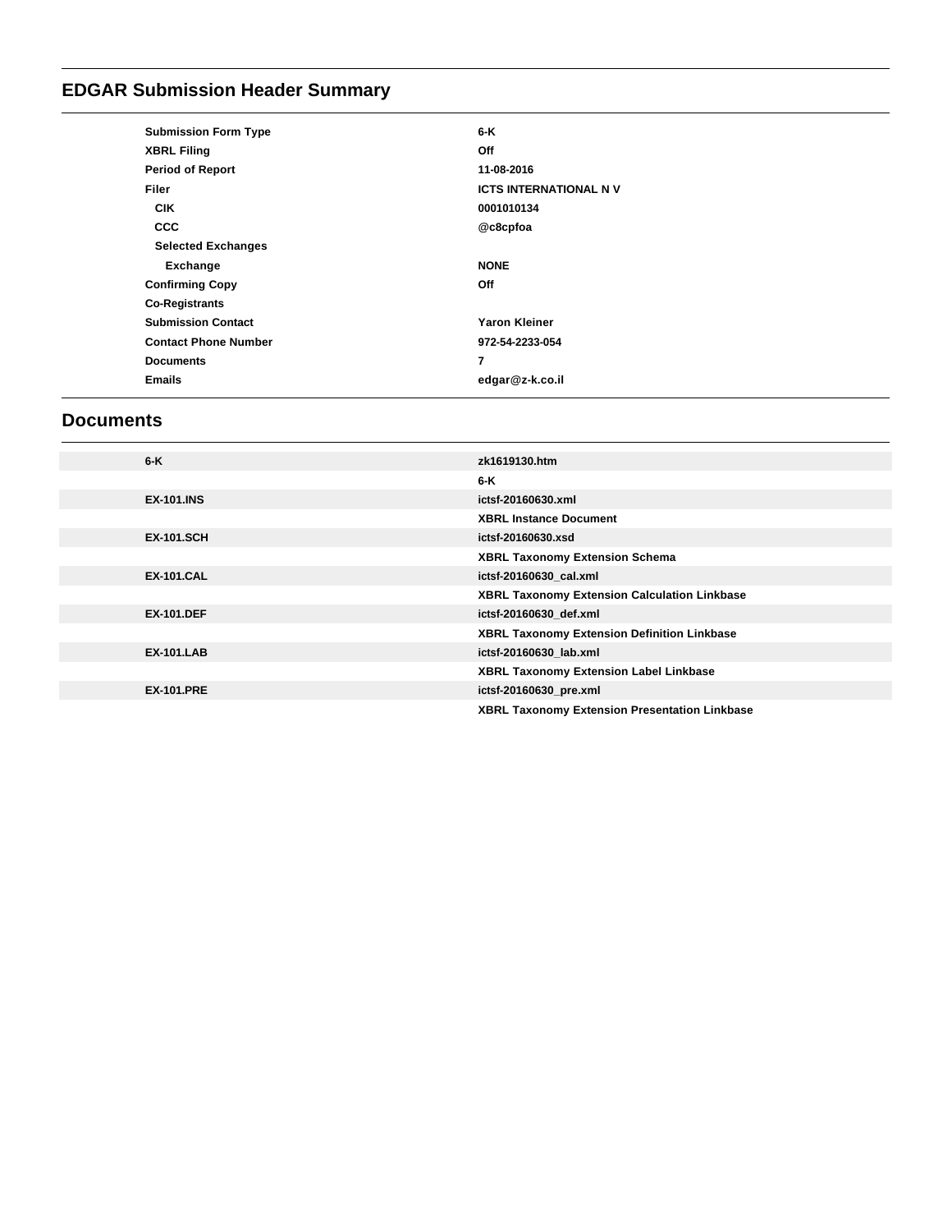# **EDGAR Submission Header Summary**

| <b>Submission Form Type</b> | 6-K                          |  |
|-----------------------------|------------------------------|--|
| <b>XBRL Filing</b>          | Off                          |  |
| <b>Period of Report</b>     | 11-08-2016                   |  |
| Filer                       | <b>ICTS INTERNATIONAL NV</b> |  |
| <b>CIK</b>                  | 0001010134                   |  |
| <b>CCC</b>                  | @c8cpfoa                     |  |
| <b>Selected Exchanges</b>   |                              |  |
| Exchange                    | <b>NONE</b>                  |  |
| <b>Confirming Copy</b>      | Off                          |  |
| <b>Co-Registrants</b>       |                              |  |
| <b>Submission Contact</b>   | <b>Yaron Kleiner</b>         |  |
| <b>Contact Phone Number</b> | 972-54-2233-054              |  |
| <b>Documents</b>            | $\overline{7}$               |  |
| <b>Emails</b>               | edgar@z-k.co.il              |  |
|                             |                              |  |

# **Documents**

| $6 - K$           | zk1619130.htm                                       |
|-------------------|-----------------------------------------------------|
|                   | 6-K                                                 |
| <b>EX-101.INS</b> | ictsf-20160630.xml                                  |
|                   | <b>XBRL Instance Document</b>                       |
| <b>EX-101.SCH</b> | ictsf-20160630.xsd                                  |
|                   | <b>XBRL Taxonomy Extension Schema</b>               |
| <b>EX-101.CAL</b> | ictsf-20160630 cal.xml                              |
|                   | <b>XBRL Taxonomy Extension Calculation Linkbase</b> |
| <b>EX-101.DEF</b> | ictsf-20160630 def.xml                              |
|                   | XBRL Taxonomy Extension Definition Linkbase         |
| <b>EX-101.LAB</b> | ictsf-20160630 lab.xml                              |
|                   | XBRL Taxonomy Extension Label Linkbase              |
| <b>EX-101.PRE</b> | ictsf-20160630_pre.xml                              |
|                   | XBRL Taxonomy Extension Presentation Linkbase       |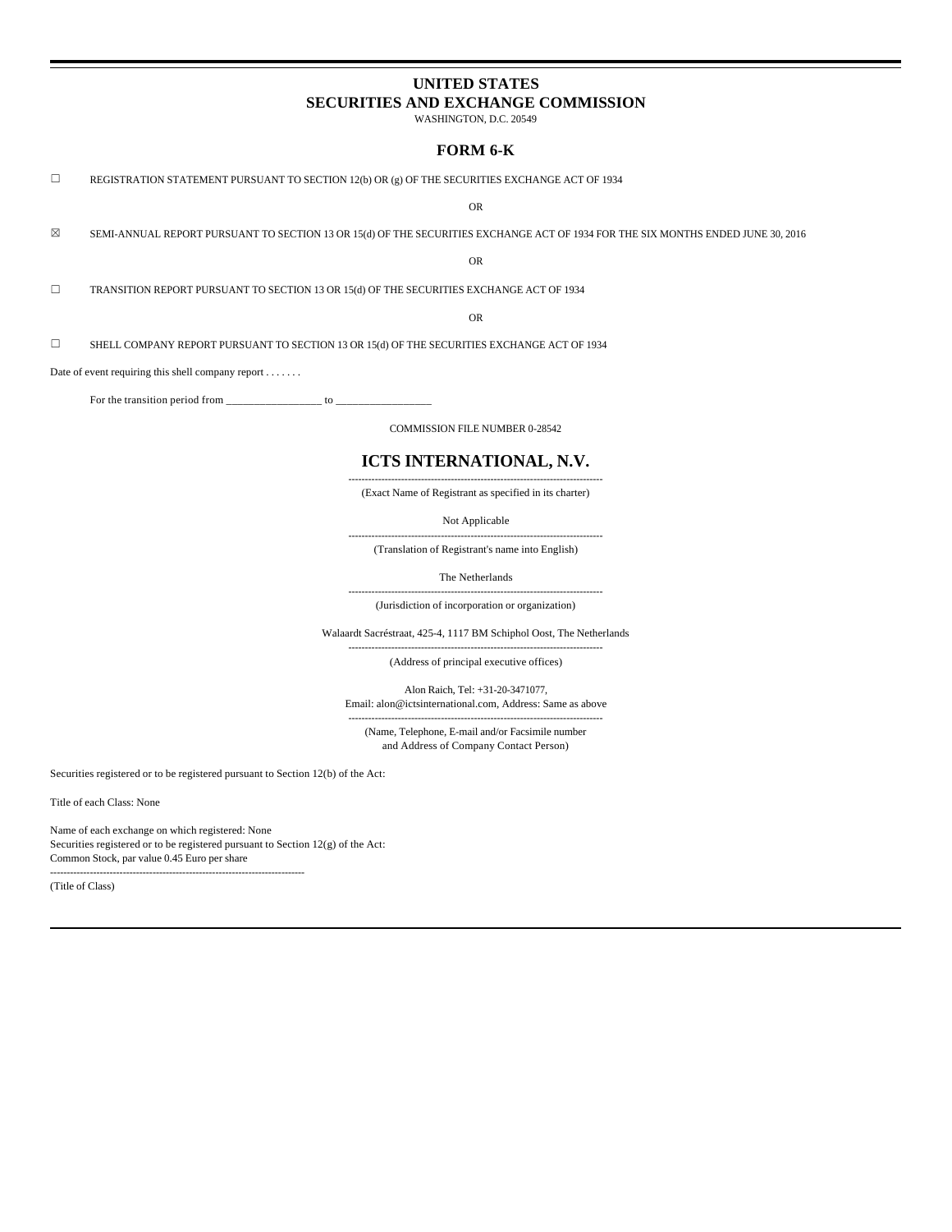# **UNITED STATES SECURITIES AND EXCHANGE COMMISSION**

WASHINGTON, D.C. 20549

# **FORM 6-K**

 $\Box$  REGISTRATION STATEMENT PURSUANT TO SECTION 12(b) OR (g) OF THE SECURITIES EXCHANGE ACT OF 1934

OR

 $\boxtimes$  SEMI-ANNUAL REPORT PURSUANT TO SECTION 13 OR 15(d) OF THE SECURITIES EXCHANGE ACT OF 1934 FOR THE SIX MONTHS ENDED JUNE 30, 2016

OR

☐ TRANSITION REPORT PURSUANT TO SECTION 13 OR 15(d) OF THE SECURITIES EXCHANGE ACT OF 1934

OR

 $\square$  SHELL COMPANY REPORT PURSUANT TO SECTION 13 OR 15(d) OF THE SECURITIES EXCHANGE ACT OF 1934

Date of event requiring this shell company report . . . . . . .

For the transition period from  $\frac{1}{2}$  =

COMMISSION FILE NUMBER 0-28542

# **ICTS INTERNATIONAL, N.V.**

----------------------------------------------------------------------------- (Exact Name of Registrant as specified in its charter)

Not Applicable

----------------------------------------------------------------------------- (Translation of Registrant's name into English)

The Netherlands

----------------------------------------------------------------------------- (Jurisdiction of incorporation or organization)

Walaardt Sacréstraat, 425-4, 1117 BM Schiphol Oost, The Netherlands

----------------------------------------------------------------------------- (Address of principal executive offices)

Alon Raich, Tel: +31-20-3471077, Email: alon@ictsinternational.com, Address: Same as above

----------------------------------------------------------------------------- (Name, Telephone, E-mail and/or Facsimile number and Address of Company Contact Person)

Securities registered or to be registered pursuant to Section 12(b) of the Act:

Title of each Class: None

Name of each exchange on which registered: None Securities registered or to be registered pursuant to Section 12(g) of the Act: Common Stock, par value 0.45 Euro per share

-----------------------------------------------------------------------------

(Title of Class)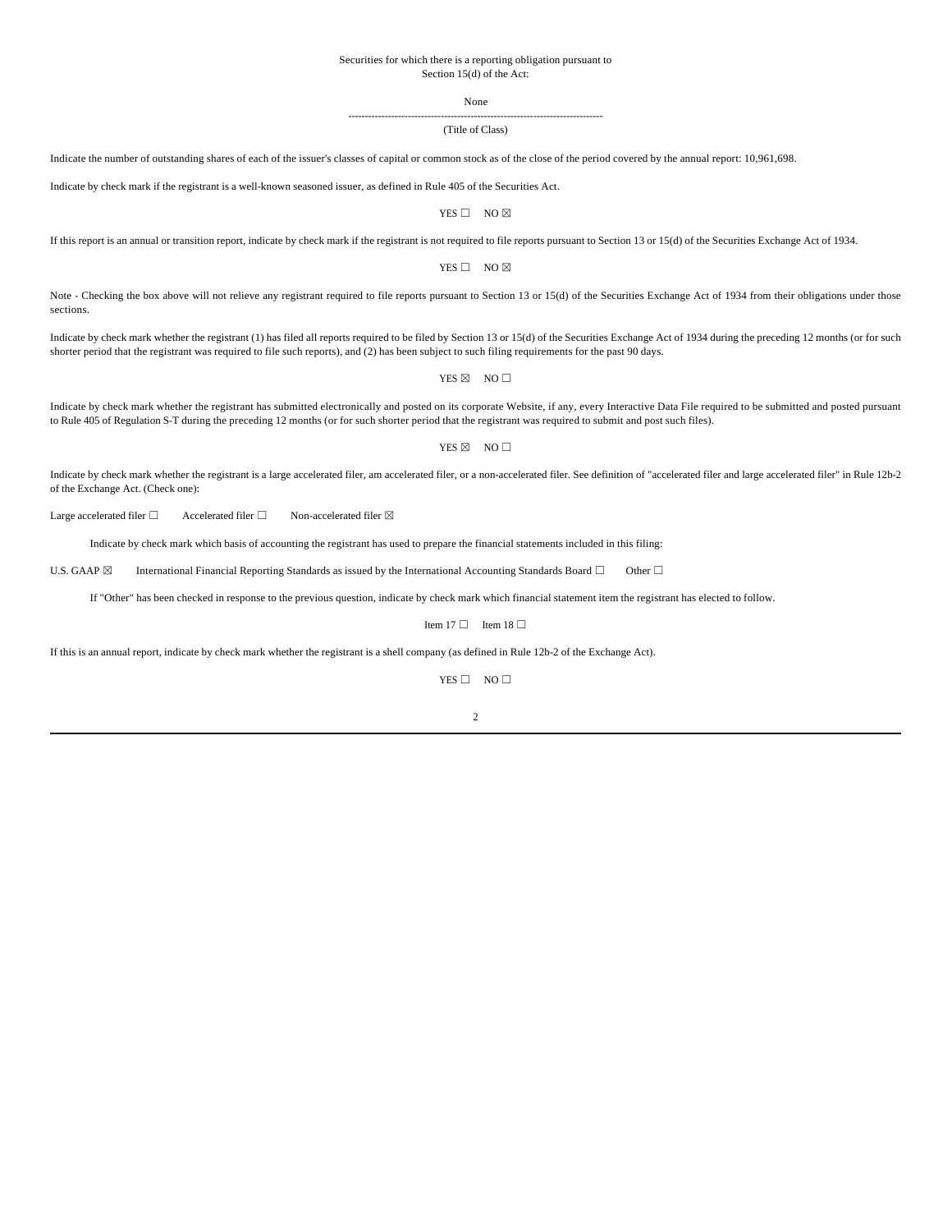#### Securities for which there is a reporting obligation pursuant to Section 15(d) of the Act:

None

#### ----------------------------------------------------------------------------- (Title of Class)

Indicate the number of outstanding shares of each of the issuer's classes of capital or common stock as of the close of the period covered by the annual report: 10,961,698.

Indicate by check mark if the registrant is a well-known seasoned issuer, as defined in Rule 405 of the Securities Act.

YES □ NO ⊠

If this report is an annual or transition report, indicate by check mark if the registrant is not required to file reports pursuant to Section 13 or 15(d) of the Securities Exchange Act of 1934.

YES □ NO ⊠

Note - Checking the box above will not relieve any registrant required to file reports pursuant to Section 13 or 15(d) of the Securities Exchange Act of 1934 from their obligations under those sections.

Indicate by check mark whether the registrant (1) has filed all reports required to be filed by Section 13 or 15(d) of the Securities Exchange Act of 1934 during the preceding 12 months (or for such shorter period that the registrant was required to file such reports), and (2) has been subject to such filing requirements for the past 90 days.

YES  $\boxtimes$  NO  $\Box$ 

Indicate by check mark whether the registrant has submitted electronically and posted on its corporate Website, if any, every Interactive Data File required to be submitted and posted pursuant to Rule 405 of Regulation S-T during the preceding 12 months (or for such shorter period that the registrant was required to submit and post such files).

#### YES  $\boxtimes$  NO  $\square$

Indicate by check mark whether the registrant is a large accelerated filer, am accelerated filer, or a non-accelerated filer. See definition of "accelerated filer and large accelerated filer" in Rule 12b-2 of the Exchange Act. (Check one):

Large accelerated filer  $□$  Accelerated filer  $□$  Non-accelerated filer  $□$ 

Indicate by check mark which basis of accounting the registrant has used to prepare the financial statements included in this filing:

U.S. GAAP  $\boxtimes$  International Financial Reporting Standards as issued by the International Accounting Standards Board  $\Box$  Other  $\Box$ 

If "Other" has been checked in response to the previous question, indicate by check mark which financial statement item the registrant has elected to follow.

Item 17  $\Box$  Item 18  $\Box$ 

If this is an annual report, indicate by check mark whether the registrant is a shell company (as defined in Rule 12b-2 of the Exchange Act).

 $YES \Box NO \Box$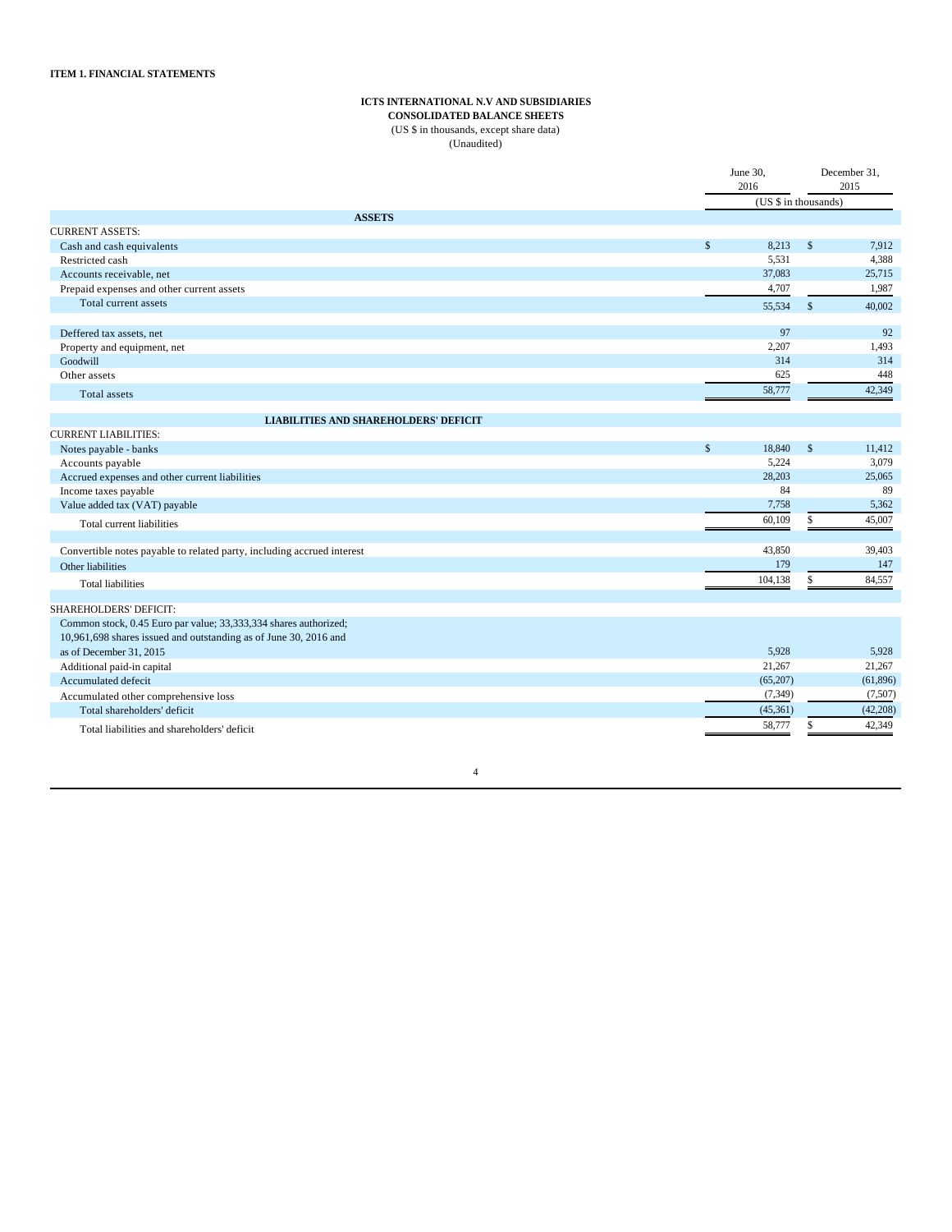#### **ICTS INTERNATIONAL N.V AND SUBSIDIARIES**

**CONSOLIDATED BALANCE SHEETS**

(US \$ in thousands, except share data) (Unaudited)

| (US \$ in thousands)<br><b>ASSETS</b><br><b>CURRENT ASSETS:</b><br>$\mathsf{\$}$<br>$\mathbb{S}$<br>8,213<br>Cash and cash equivalents<br>5.531<br>Restricted cash<br>37,083<br>Accounts receivable, net<br>4,707<br>Prepaid expenses and other current assets<br>Total current assets<br>$\mathbb{S}$<br>55,534<br>97<br>Deffered tax assets, net | 2015      |
|----------------------------------------------------------------------------------------------------------------------------------------------------------------------------------------------------------------------------------------------------------------------------------------------------------------------------------------------------|-----------|
|                                                                                                                                                                                                                                                                                                                                                    |           |
|                                                                                                                                                                                                                                                                                                                                                    |           |
|                                                                                                                                                                                                                                                                                                                                                    |           |
|                                                                                                                                                                                                                                                                                                                                                    | 7,912     |
|                                                                                                                                                                                                                                                                                                                                                    | 4,388     |
|                                                                                                                                                                                                                                                                                                                                                    | 25,715    |
|                                                                                                                                                                                                                                                                                                                                                    | 1,987     |
|                                                                                                                                                                                                                                                                                                                                                    | 40,002    |
|                                                                                                                                                                                                                                                                                                                                                    | 92        |
| 2,207<br>Property and equipment, net                                                                                                                                                                                                                                                                                                               | 1,493     |
| Goodwill<br>314                                                                                                                                                                                                                                                                                                                                    | 314       |
| 625<br>Other assets                                                                                                                                                                                                                                                                                                                                | 448       |
| 58,777<br>Total assets                                                                                                                                                                                                                                                                                                                             | 42,349    |
| <b>LIABILITIES AND SHAREHOLDERS' DEFICIT</b>                                                                                                                                                                                                                                                                                                       |           |
| <b>CURRENT LIABILITIES:</b>                                                                                                                                                                                                                                                                                                                        |           |
| $\mathsf{\$}$<br>18,840<br>$\mathbb{S}$<br>Notes payable - banks                                                                                                                                                                                                                                                                                   | 11,412    |
| 5.224<br>Accounts payable                                                                                                                                                                                                                                                                                                                          | 3,079     |
| 28,203<br>Accrued expenses and other current liabilities                                                                                                                                                                                                                                                                                           | 25,065    |
| 84<br>Income taxes payable                                                                                                                                                                                                                                                                                                                         | 89        |
| 7,758<br>Value added tax (VAT) payable                                                                                                                                                                                                                                                                                                             | 5,362     |
| 60,109<br>\$<br>Total current liabilities                                                                                                                                                                                                                                                                                                          | 45,007    |
| 43,850<br>Convertible notes payable to related party, including accrued interest                                                                                                                                                                                                                                                                   | 39,403    |
| 179<br>Other liabilities                                                                                                                                                                                                                                                                                                                           | 147       |
| 104,138<br>\$<br><b>Total liabilities</b>                                                                                                                                                                                                                                                                                                          | 84,557    |
| SHAREHOLDERS' DEFICIT:                                                                                                                                                                                                                                                                                                                             |           |
| Common stock, 0.45 Euro par value; 33,333,334 shares authorized;                                                                                                                                                                                                                                                                                   |           |
| 10,961,698 shares issued and outstanding as of June 30, 2016 and                                                                                                                                                                                                                                                                                   |           |
| 5.928<br>as of December 31, 2015                                                                                                                                                                                                                                                                                                                   | 5.928     |
| 21,267<br>Additional paid-in capital                                                                                                                                                                                                                                                                                                               | 21,267    |
| Accumulated defecit<br>(65,207)                                                                                                                                                                                                                                                                                                                    | (61, 896) |
| (7, 349)<br>Accumulated other comprehensive loss                                                                                                                                                                                                                                                                                                   | (7,507)   |
| (45,361)<br>Total shareholders' deficit                                                                                                                                                                                                                                                                                                            | (42, 208) |
| 58,777<br>\$<br>Total liabilities and shareholders' deficit                                                                                                                                                                                                                                                                                        | 42,349    |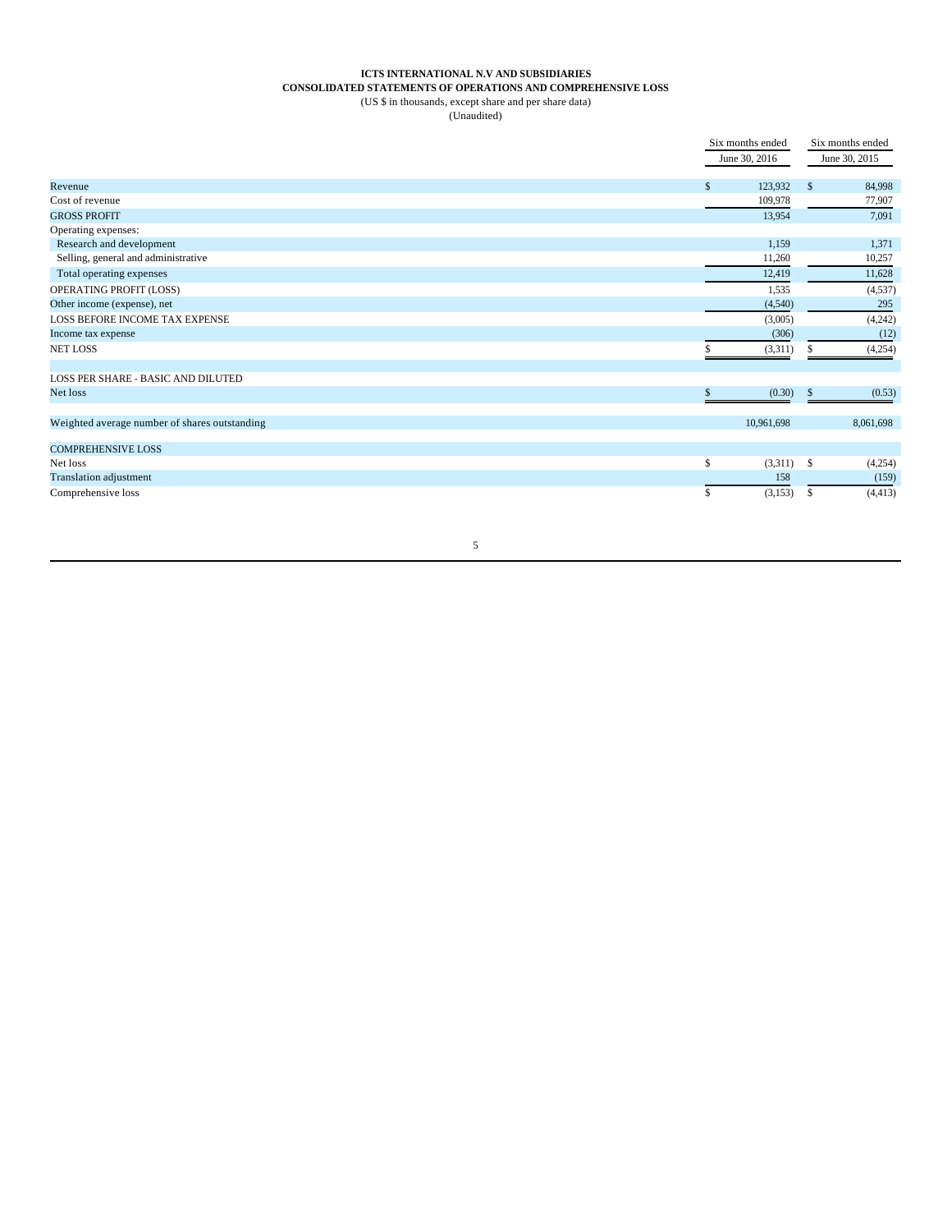# **ICTS INTERNATIONAL N.V AND SUBSIDIARIES**

# **CONSOLIDATED STATEMENTS OF OPERATIONS AND COMPREHENSIVE LOSS**

(US \$ in thousands, except share and per share data)

(Unaudited)

|                                               | Six months ended |         | Six months ended        |  |
|-----------------------------------------------|------------------|---------|-------------------------|--|
|                                               | June 30, 2016    |         | June 30, 2015           |  |
|                                               |                  |         |                         |  |
| Revenue                                       | 123,932<br>\$    |         | $\mathbb{S}$<br>84,998  |  |
| Cost of revenue                               | 109,978          |         | 77,907                  |  |
| <b>GROSS PROFIT</b>                           |                  | 13,954  | 7.091                   |  |
| Operating expenses:                           |                  |         |                         |  |
| Research and development                      |                  | 1,159   | 1,371                   |  |
| Selling, general and administrative           |                  | 11,260  | 10,257                  |  |
| Total operating expenses                      |                  | 12,419  | 11,628                  |  |
| OPERATING PROFIT (LOSS)                       |                  | 1,535   | (4, 537)                |  |
| Other income (expense), net                   |                  | (4,540) | 295                     |  |
| LOSS BEFORE INCOME TAX EXPENSE                |                  | (3,005) | (4,242)                 |  |
| Income tax expense                            |                  | (306)   | (12)                    |  |
| <b>NET LOSS</b>                               | S.               | (3,311) | (4,254)<br>S.           |  |
| LOSS PER SHARE - BASIC AND DILUTED            |                  |         |                         |  |
| Net loss                                      | \$               | (0.30)  | (0.53)<br><sup>\$</sup> |  |
| Weighted average number of shares outstanding | 10,961,698       |         | 8,061,698               |  |
|                                               |                  |         |                         |  |
| <b>COMPREHENSIVE LOSS</b>                     |                  |         |                         |  |
| Net loss                                      | \$               | (3,311) | -S<br>(4,254)           |  |
| Translation adjustment                        |                  | 158     | (159)                   |  |
| Comprehensive loss                            | \$               | (3,153) | (4, 413)<br>S           |  |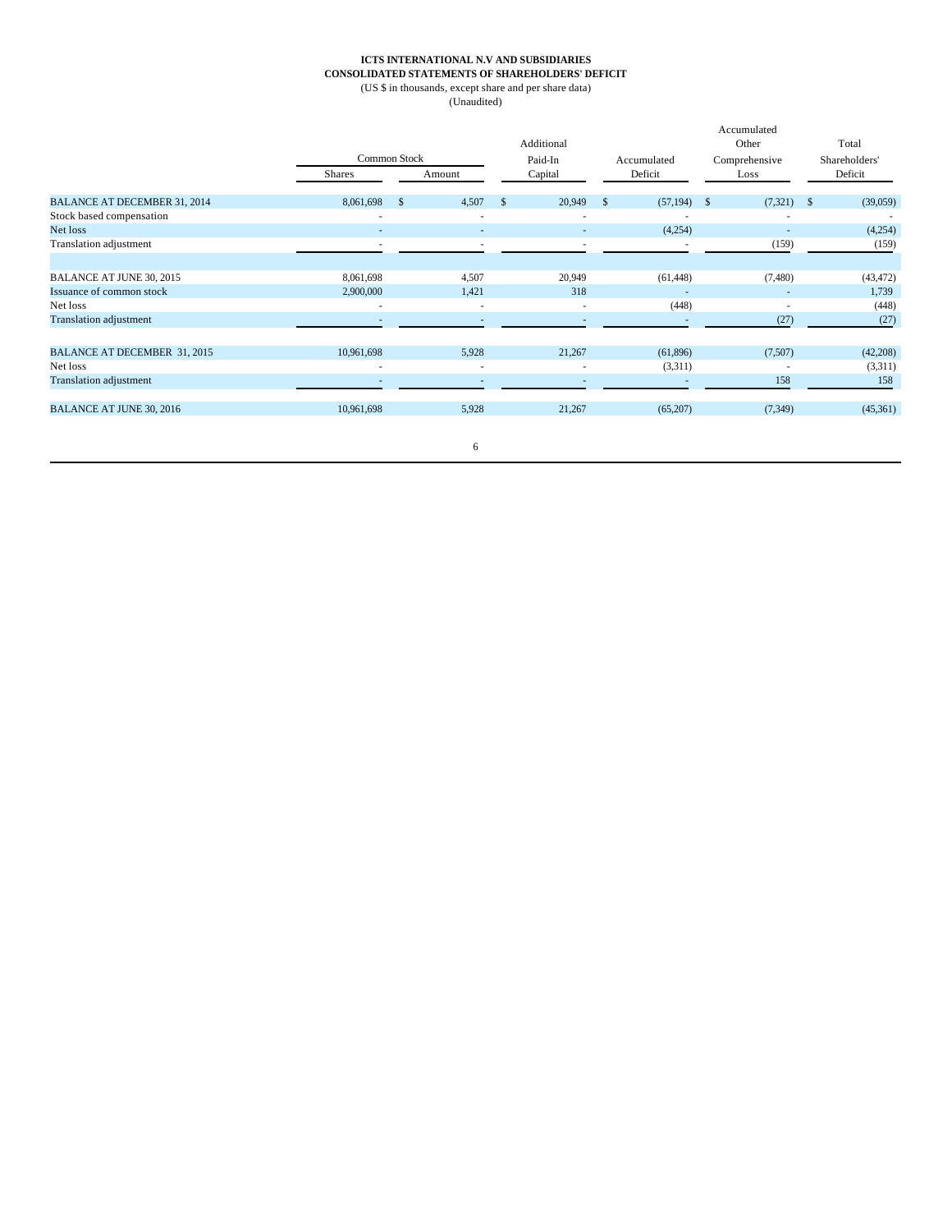#### **ICTS INTERNATIONAL N.V AND SUBSIDIARIES CONSOLIDATED STATEMENTS OF SHAREHOLDERS' DEFICIT**

(US \$ in thousands, except share and per share data)

(Unaudited)

|                                     |            | Common Stock             | Additional<br>Paid-In |        | Accumulated  |                          | Accumulated<br>Other<br>Comprehensive |          |              | Total<br>Shareholders' |
|-------------------------------------|------------|--------------------------|-----------------------|--------|--------------|--------------------------|---------------------------------------|----------|--------------|------------------------|
|                                     | Shares     | Amount                   | Capital               |        | Deficit      |                          | Loss                                  |          | Deficit      |                        |
| <b>BALANCE AT DECEMBER 31, 2014</b> | 8,061,698  | 4,507<br>$\mathbb{S}$    | $\mathbf{s}$          | 20,949 | $\mathbb{S}$ | $(57,194)$ \$            |                                       | (7, 321) | $\mathbf{s}$ | (39,059)               |
| Stock based compensation            | ٠          | $\overline{\phantom{a}}$ |                       | ۰      |              |                          |                                       |          |              |                        |
| Net loss                            |            |                          |                       | ٠      |              | (4,254)                  |                                       |          |              | (4,254)                |
| Translation adjustment              | ٠          | $\overline{\phantom{a}}$ |                       | ٠      |              | $\overline{\phantom{a}}$ |                                       | (159)    |              | (159)                  |
|                                     |            |                          |                       |        |              |                          |                                       |          |              |                        |
| BALANCE AT JUNE 30, 2015            | 8,061,698  | 4,507                    |                       | 20,949 |              | (61, 448)                |                                       | (7,480)  |              | (43, 472)              |
| Issuance of common stock            | 2,900,000  | 1,421                    |                       | 318    |              | ٠                        |                                       |          |              | 1,739                  |
| Net loss                            | ٠          | $\sim$                   |                       | $\sim$ |              | (448)                    |                                       |          |              | (448)                  |
| Translation adjustment              |            | $\overline{\phantom{a}}$ |                       | ٠      |              | ٠                        |                                       | (27)     |              | (27)                   |
|                                     |            |                          |                       |        |              |                          |                                       |          |              |                        |
| <b>BALANCE AT DECEMBER 31, 2015</b> | 10,961,698 | 5,928                    |                       | 21,267 |              | (61, 896)                |                                       | (7,507)  |              | (42,208)               |
| Net loss                            | ٠          | $\sim$                   |                       | ٠      |              | (3,311)                  |                                       |          |              | (3,311)                |
| Translation adjustment              |            | $\overline{\phantom{a}}$ |                       |        |              |                          |                                       | 158      |              | 158                    |
|                                     |            |                          |                       |        |              |                          |                                       |          |              |                        |
| <b>BALANCE AT JUNE 30, 2016</b>     | 10,961,698 | 5,928                    |                       | 21,267 |              | (65,207)                 |                                       | (7, 349) |              | (45,361)               |
|                                     |            |                          |                       |        |              |                          |                                       |          |              |                        |
|                                     |            | 6                        |                       |        |              |                          |                                       |          |              |                        |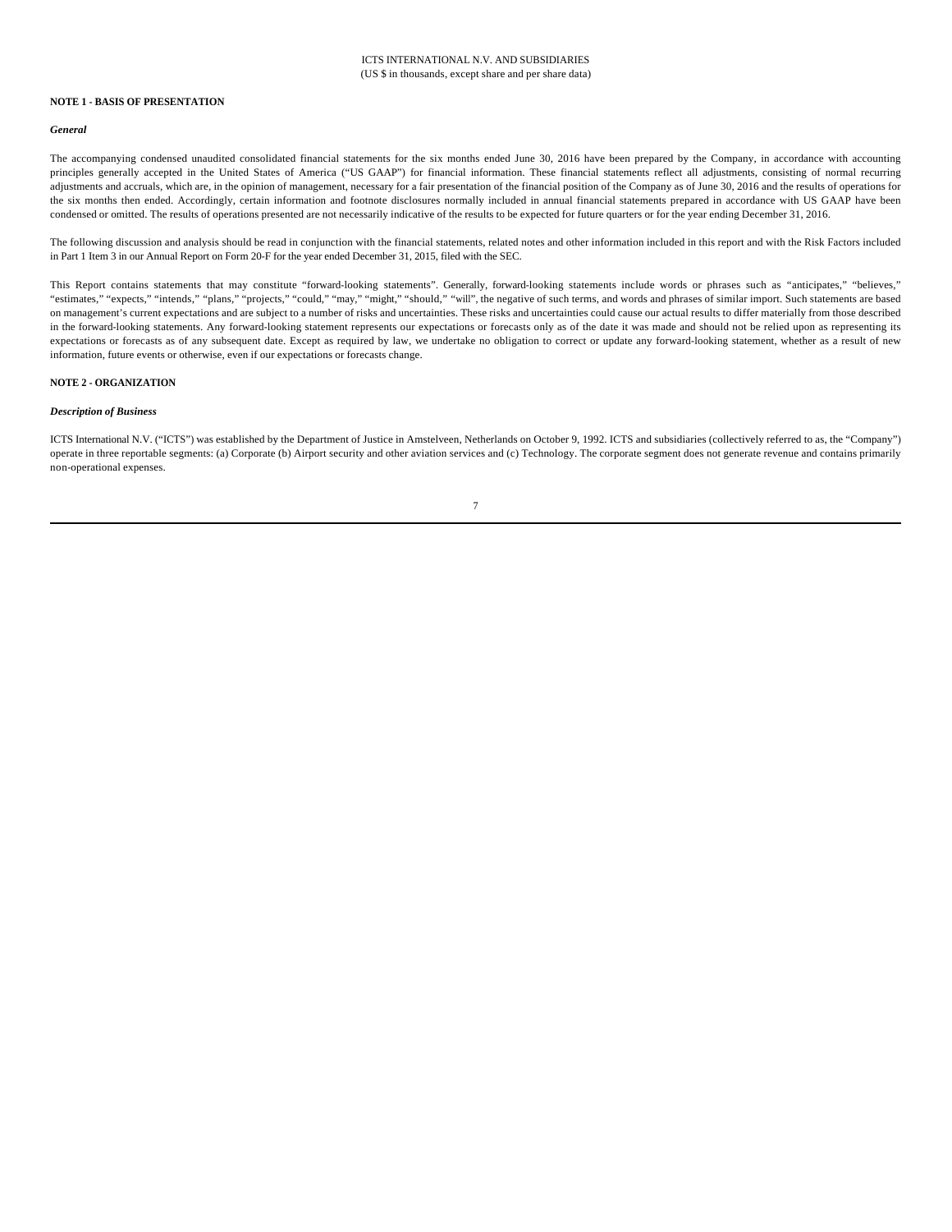#### **NOTE 1 - BASIS OF PRESENTATION**

#### *General*

The accompanying condensed unaudited consolidated financial statements for the six months ended June 30, 2016 have been prepared by the Company, in accordance with accounting principles generally accepted in the United States of America ("US GAAP") for financial information. These financial statements reflect all adjustments, consisting of normal recurring adjustments and accruals, which are, in the opinion of management, necessary for a fair presentation of the financial position of the Company as of June 30, 2016 and the results of operations for the six months then ended. Accordingly, certain information and footnote disclosures normally included in annual financial statements prepared in accordance with US GAAP have been condensed or omitted. The results of operations presented are not necessarily indicative of the results to be expected for future quarters or for the year ending December 31, 2016.

The following discussion and analysis should be read in conjunction with the financial statements, related notes and other information included in this report and with the Risk Factors included in Part 1 Item 3 in our Annual Report on Form 20-F for the year ended December 31, 2015, filed with the SEC.

This Report contains statements that may constitute "forward-looking statements". Generally, forward-looking statements include words or phrases such as "anticipates," "believes," "estimates," "expects," "intends," "plans," "projects," "could," "may," "might," "should," "will", the negative of such terms, and words and phrases of similar import. Such statements are based on management's current expectations and are subject to a number of risks and uncertainties. These risks and uncertainties could cause our actual results to differ materially from those described in the forward-looking statements. Any forward-looking statement represents our expectations or forecasts only as of the date it was made and should not be relied upon as representing its expectations or forecasts as of any subsequent date. Except as required by law, we undertake no obligation to correct or update any forward-looking statement, whether as a result of new information, future events or otherwise, even if our expectations or forecasts change.

#### **NOTE 2 - ORGANIZATION**

#### *Description of Business*

ICTS International N.V. ("ICTS") was established by the Department of Justice in Amstelveen, Netherlands on October 9, 1992. ICTS and subsidiaries (collectively referred to as, the "Company") operate in three reportable segments: (a) Corporate (b) Airport security and other aviation services and (c) Technology. The corporate segment does not generate revenue and contains primarily non-operational expenses.

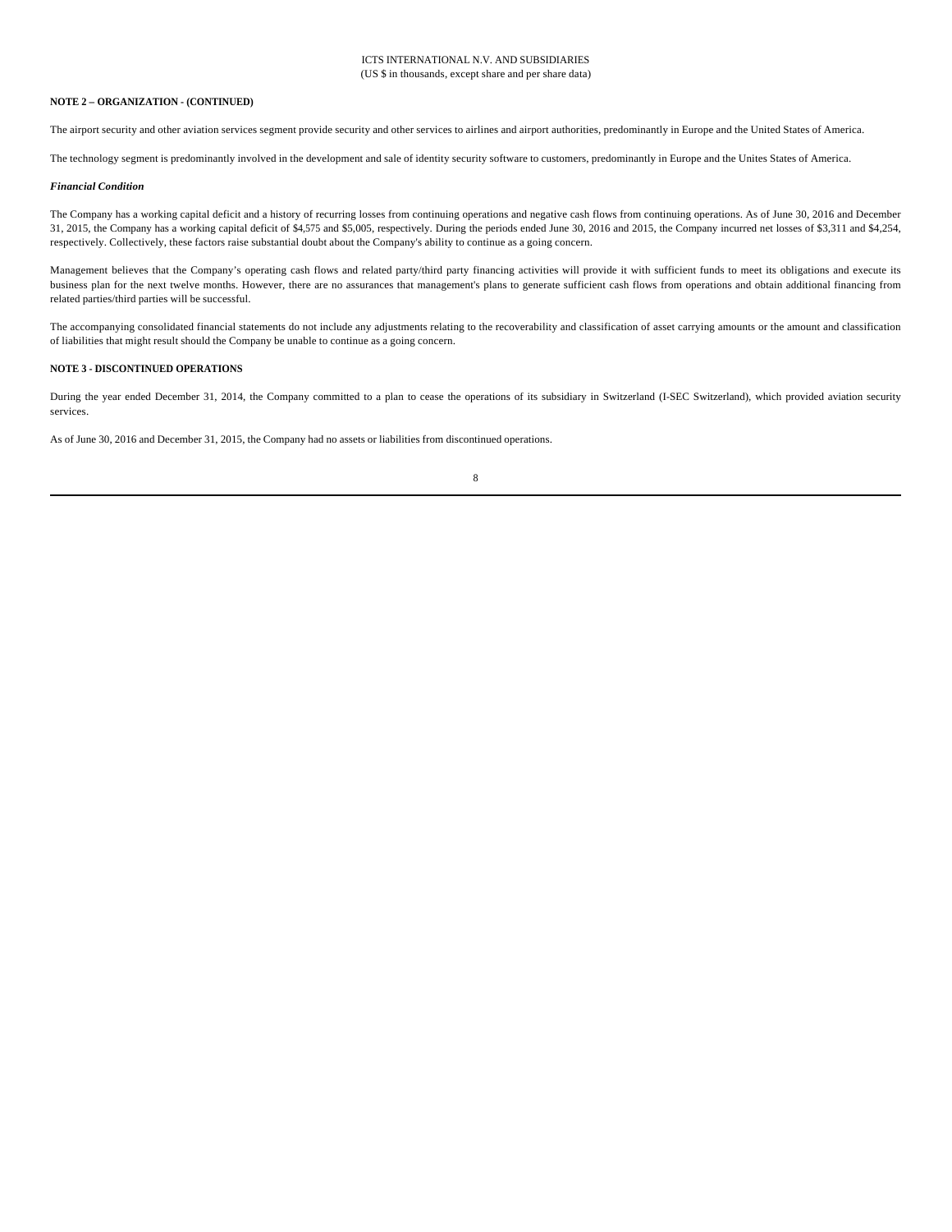#### **NOTE 2 – ORGANIZATION - (CONTINUED)**

The airport security and other aviation services segment provide security and other services to airlines and airport authorities, predominantly in Europe and the United States of America.

The technology segment is predominantly involved in the development and sale of identity security software to customers, predominantly in Europe and the Unites States of America.

#### *Financial Condition*

The Company has a working capital deficit and a history of recurring losses from continuing operations and negative cash flows from continuing operations. As of June 30, 2016 and December 31, 2015, the Company has a working capital deficit of \$4,575 and \$5,005, respectively. During the periods ended June 30, 2016 and 2015, the Company incurred net losses of \$3,311 and \$4,254, respectively. Collectively, these factors raise substantial doubt about the Company's ability to continue as a going concern.

Management believes that the Company's operating cash flows and related party/third party financing activities will provide it with sufficient funds to meet its obligations and execute its business plan for the next twelve months. However, there are no assurances that management's plans to generate sufficient cash flows from operations and obtain additional financing from related parties/third parties will be successful.

The accompanying consolidated financial statements do not include any adjustments relating to the recoverability and classification of asset carrying amounts or the amount and classification of liabilities that might result should the Company be unable to continue as a going concern.

#### **NOTE 3 - DISCONTINUED OPERATIONS**

During the year ended December 31, 2014, the Company committed to a plan to cease the operations of its subsidiary in Switzerland (I-SEC Switzerland), which provided aviation security services.

As of June 30, 2016 and December 31, 2015, the Company had no assets or liabilities from discontinued operations.

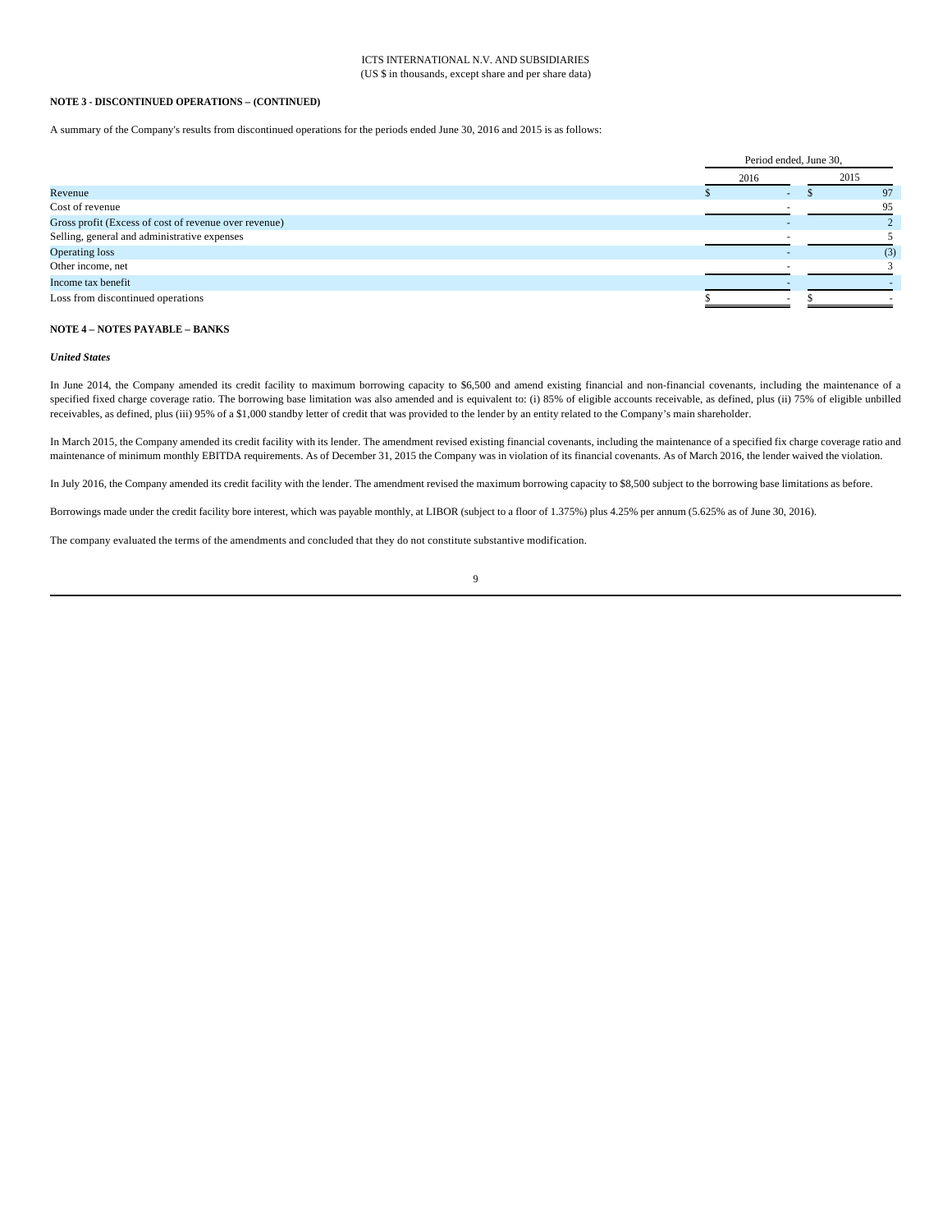#### **NOTE 3 - DISCONTINUED OPERATIONS – (CONTINUED)**

A summary of the Company's results from discontinued operations for the periods ended June 30, 2016 and 2015 is as follows:

|                                                       |      | Period ended, June 30, |      |  |  |  |
|-------------------------------------------------------|------|------------------------|------|--|--|--|
|                                                       | 2016 |                        | 2015 |  |  |  |
| Revenue                                               |      |                        | 97   |  |  |  |
| Cost of revenue                                       |      |                        | 95   |  |  |  |
| Gross profit (Excess of cost of revenue over revenue) |      |                        |      |  |  |  |
| Selling, general and administrative expenses          |      |                        |      |  |  |  |
| <b>Operating loss</b>                                 |      |                        | (3)  |  |  |  |
| Other income, net                                     |      |                        |      |  |  |  |
| Income tax benefit                                    |      |                        |      |  |  |  |
| Loss from discontinued operations                     |      |                        |      |  |  |  |
|                                                       |      |                        |      |  |  |  |

#### **NOTE 4 – NOTES PAYABLE – BANKS**

#### *United States*

In June 2014, the Company amended its credit facility to maximum borrowing capacity to \$6,500 and amend existing financial and non-financial covenants, including the maintenance of a specified fixed charge coverage ratio. The borrowing base limitation was also amended and is equivalent to: (i) 85% of eligible accounts receivable, as defined, plus (ii) 75% of eligible unbilled receivables, as defined, plus (iii) 95% of a \$1,000 standby letter of credit that was provided to the lender by an entity related to the Company's main shareholder.

In March 2015, the Company amended its credit facility with its lender. The amendment revised existing financial covenants, including the maintenance of a specified fix charge coverage ratio and maintenance of minimum monthly EBITDA requirements. As of December 31, 2015 the Company was in violation of its financial covenants. As of March 2016, the lender waived the violation.

In July 2016, the Company amended its credit facility with the lender. The amendment revised the maximum borrowing capacity to \$8,500 subject to the borrowing base limitations as before.

Borrowings made under the credit facility bore interest, which was payable monthly, at LIBOR (subject to a floor of 1.375%) plus 4.25% per annum (5.625% as of June 30, 2016).

The company evaluated the terms of the amendments and concluded that they do not constitute substantive modification.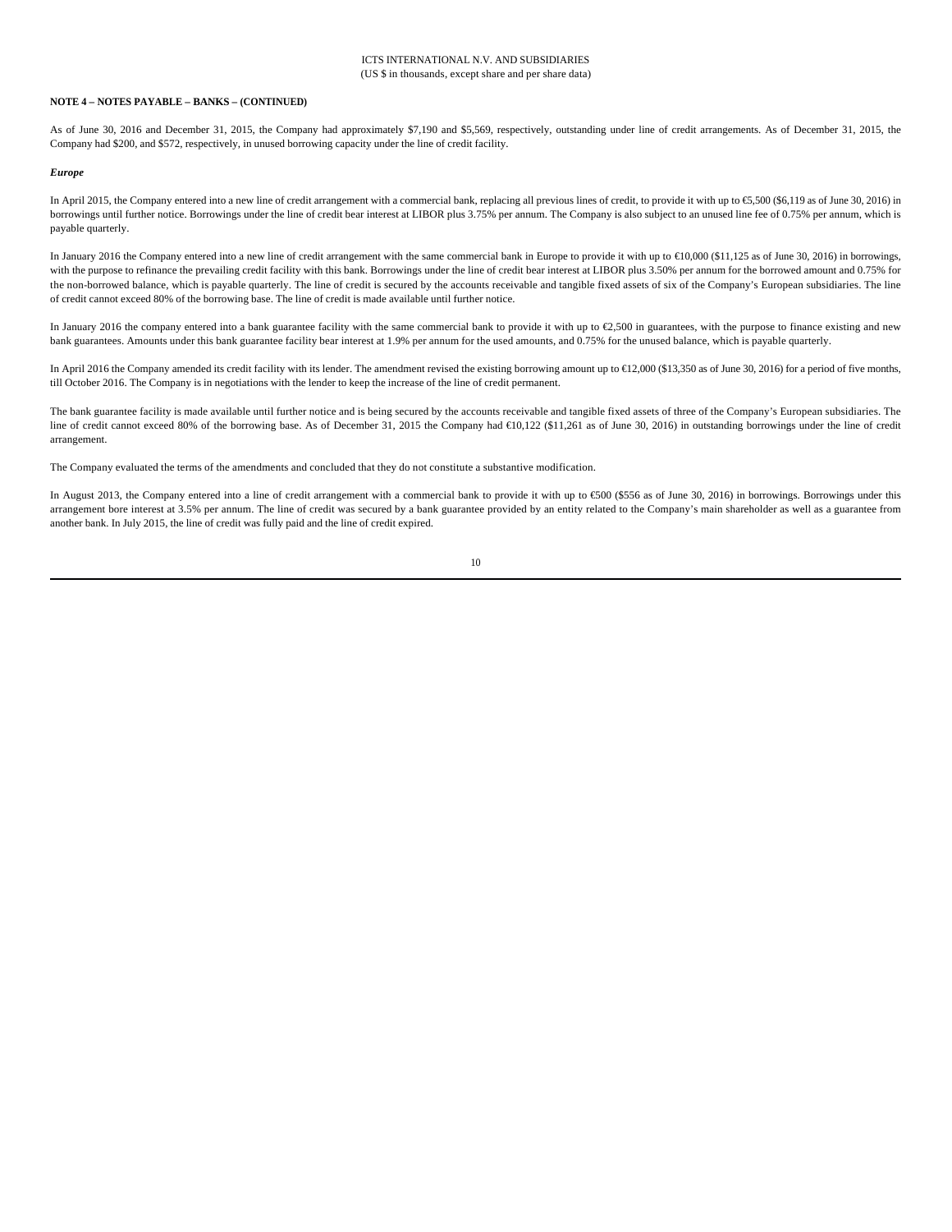## **NOTE 4 – NOTES PAYABLE – BANKS – (CONTINUED)**

As of June 30, 2016 and December 31, 2015, the Company had approximately \$7,190 and \$5,569, respectively, outstanding under line of credit arrangements. As of December 31, 2015, the Company had \$200, and \$572, respectively, in unused borrowing capacity under the line of credit facility.

#### *Europe*

In April 2015, the Company entered into a new line of credit arrangement with a commercial bank, replacing all previous lines of credit, to provide it with up to €5,500 (\$6,119 as of June 30, 2016) in borrowings until further notice. Borrowings under the line of credit bear interest at LIBOR plus 3.75% per annum. The Company is also subject to an unused line fee of 0.75% per annum, which is payable quarterly.

In January 2016 the Company entered into a new line of credit arrangement with the same commercial bank in Europe to provide it with up to €10,000 (\$11,125 as of June 30, 2016) in borrowings, with the purpose to refinance the prevailing credit facility with this bank. Borrowings under the line of credit bear interest at LIBOR plus 3.50% per annum for the borrowed amount and 0.75% for the non-borrowed balance, which is payable quarterly. The line of credit is secured by the accounts receivable and tangible fixed assets of six of the Company's European subsidiaries. The line of credit cannot exceed 80% of the borrowing base. The line of credit is made available until further notice.

In January 2016 the company entered into a bank guarantee facility with the same commercial bank to provide it with up to €2,500 in guarantees, with the purpose to finance existing and new bank guarantees. Amounts under this bank guarantee facility bear interest at 1.9% per annum for the used amounts, and 0.75% for the unused balance, which is payable quarterly.

In April 2016 the Company amended its credit facility with its lender. The amendment revised the existing borrowing amount up to €12,000 (\$13,350 as of June 30, 2016) for a period of five months, till October 2016. The Company is in negotiations with the lender to keep the increase of the line of credit permanent.

The bank guarantee facility is made available until further notice and is being secured by the accounts receivable and tangible fixed assets of three of the Company's European subsidiaries. The line of credit cannot exceed 80% of the borrowing base. As of December 31, 2015 the Company had €10,122 (\$11,261 as of June 30, 2016) in outstanding borrowings under the line of credit arrangement.

The Company evaluated the terms of the amendments and concluded that they do not constitute a substantive modification.

In August 2013, the Company entered into a line of credit arrangement with a commercial bank to provide it with up to €500 (\$556 as of June 30, 2016) in borrowings. Borrowings under this arrangement bore interest at 3.5% per annum. The line of credit was secured by a bank guarantee provided by an entity related to the Company's main shareholder as well as a guarantee from another bank. In July 2015, the line of credit was fully paid and the line of credit expired.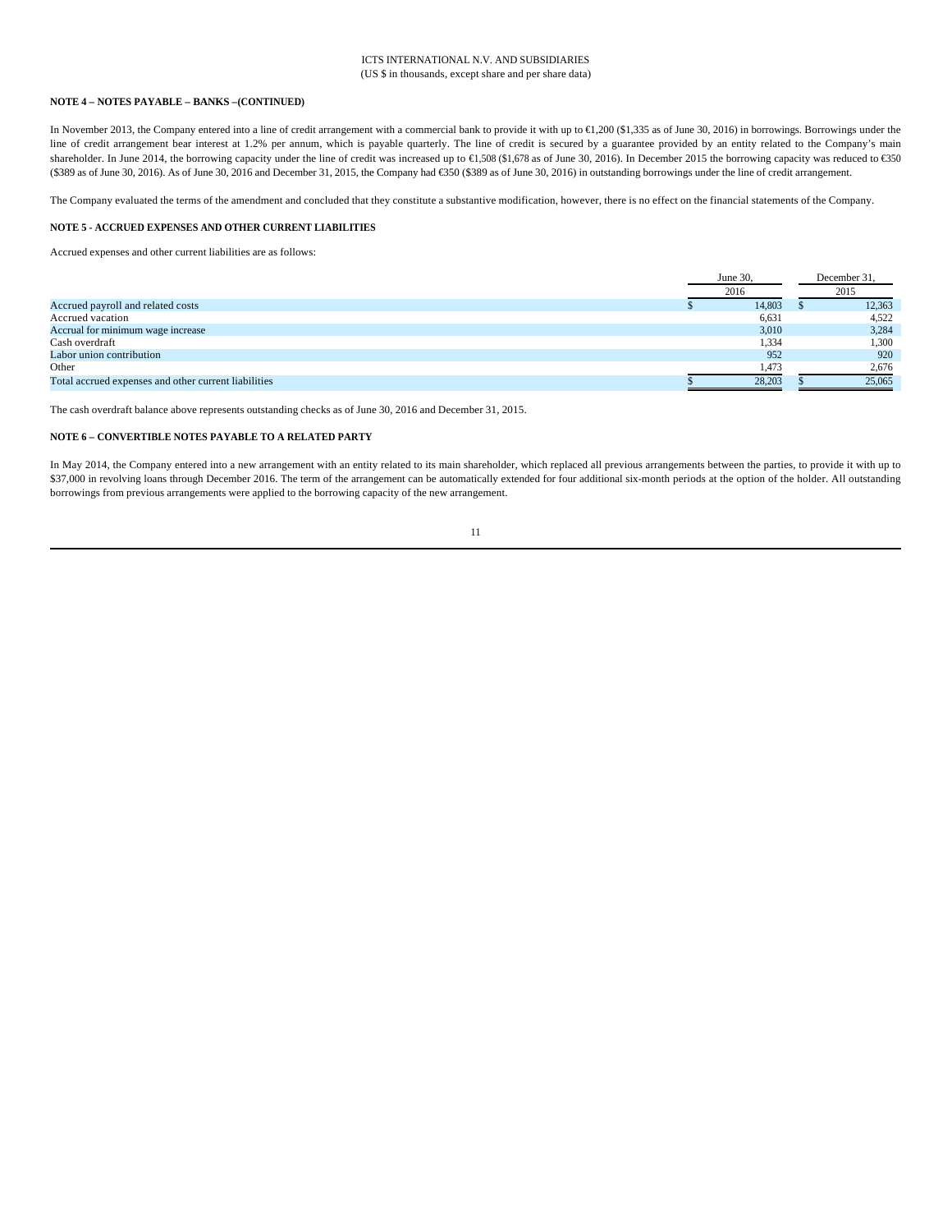#### **NOTE 4 – NOTES PAYABLE – BANKS –(CONTINUED)**

In November 2013, the Company entered into a line of credit arrangement with a commercial bank to provide it with up to €1,200 (\$1,335 as of June 30, 2016) in borrowings. Borrowings under the line of credit arrangement bear interest at 1.2% per annum, which is payable quarterly. The line of credit is secured by a guarantee provided by an entity related to the Company's main shareholder. In June 2014, the borrowing capacity under the line of credit was increased up to €1,508 (\$1,678 as of June 30, 2016). In December 2015 the borrowing capacity was reduced to €30 (\$389 as of June 30, 2016). As of June 30, 2016 and December 31, 2015, the Company had €350 (\$389 as of June 30, 2016) in outstanding borrowings under the line of credit arrangement.

The Company evaluated the terms of the amendment and concluded that they constitute a substantive modification, however, there is no effect on the financial statements of the Company.

#### **NOTE 5 - ACCRUED EXPENSES AND OTHER CURRENT LIABILITIES**

Accrued expenses and other current liabilities are as follows:

|                                                      | June 30, |        | December 31, |
|------------------------------------------------------|----------|--------|--------------|
|                                                      | 2016     |        | 2015         |
| Accrued payroll and related costs                    |          | 14,803 | 12,363       |
| Accrued vacation                                     |          | 6,631  | 4,522        |
| Accrual for minimum wage increase                    |          | 3,010  | 3,284        |
| Cash overdraft                                       |          | 1,334  | 1,300        |
| Labor union contribution                             |          | 952    | 920          |
| Other                                                |          | 1,473  | 2,676        |
| Total accrued expenses and other current liabilities |          | 28.203 | 25,065       |

The cash overdraft balance above represents outstanding checks as of June 30, 2016 and December 31, 2015.

# **NOTE 6 – CONVERTIBLE NOTES PAYABLE TO A RELATED PARTY**

In May 2014, the Company entered into a new arrangement with an entity related to its main shareholder, which replaced all previous arrangements between the parties, to provide it with up to \$37,000 in revolving loans through December 2016. The term of the arrangement can be automatically extended for four additional six-month periods at the option of the holder. All outstanding borrowings from previous arrangements were applied to the borrowing capacity of the new arrangement.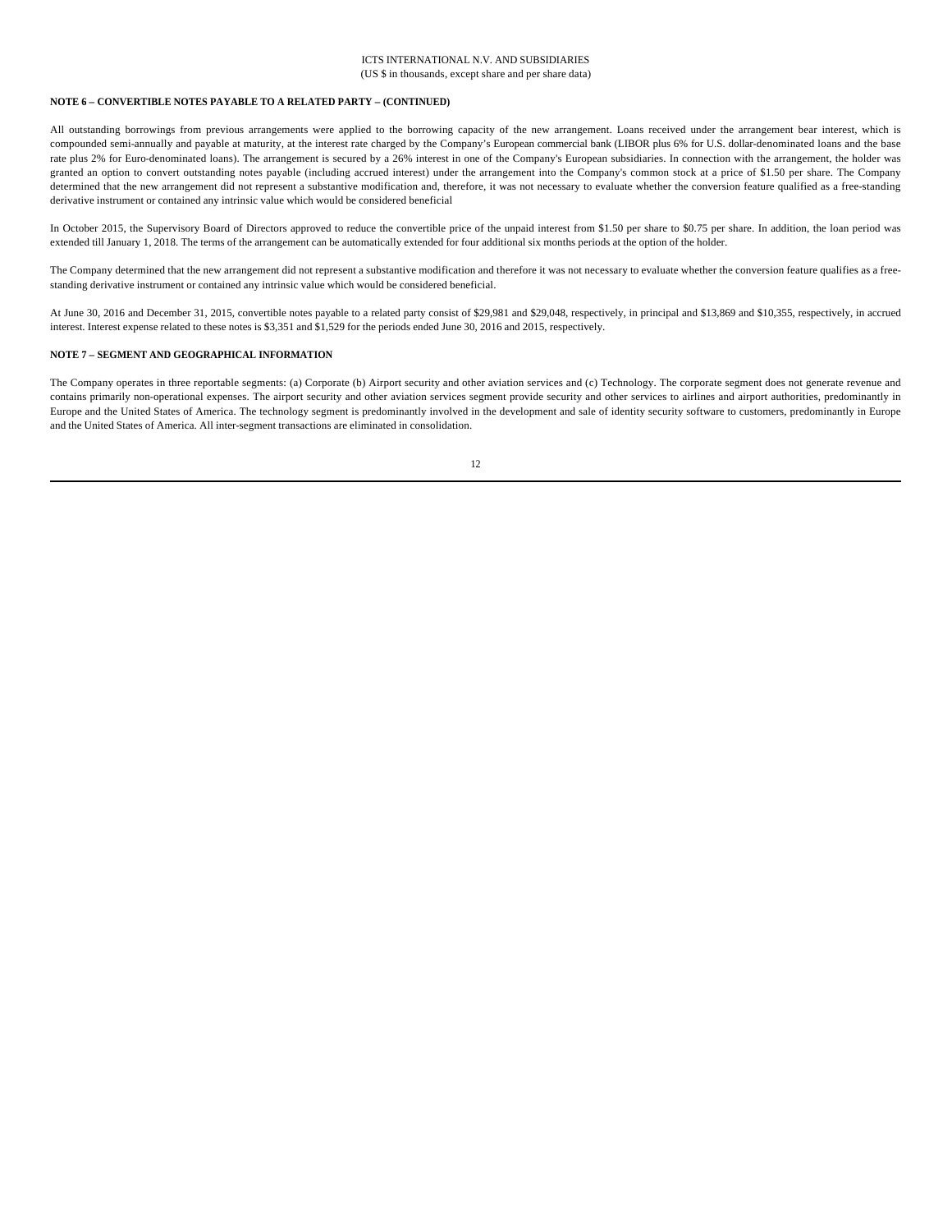#### **NOTE 6 – CONVERTIBLE NOTES PAYABLE TO A RELATED PARTY – (CONTINUED)**

All outstanding borrowings from previous arrangements were applied to the borrowing capacity of the new arrangement. Loans received under the arrangement bear interest, which is compounded semi-annually and payable at maturity, at the interest rate charged by the Company's European commercial bank (LIBOR plus 6% for U.S. dollar-denominated loans and the base rate plus 2% for Euro-denominated loans). The arrangement is secured by a 26% interest in one of the Company's European subsidiaries. In connection with the arrangement, the holder was granted an option to convert outstanding notes payable (including accrued interest) under the arrangement into the Company's common stock at a price of \$1.50 per share. The Company determined that the new arrangement did not represent a substantive modification and, therefore, it was not necessary to evaluate whether the conversion feature qualified as a free-standing derivative instrument or contained any intrinsic value which would be considered beneficial

In October 2015, the Supervisory Board of Directors approved to reduce the convertible price of the unpaid interest from \$1.50 per share to \$0.75 per share. In addition, the loan period was extended till January 1, 2018. The terms of the arrangement can be automatically extended for four additional six months periods at the option of the holder.

The Company determined that the new arrangement did not represent a substantive modification and therefore it was not necessary to evaluate whether the conversion feature qualifies as a freestanding derivative instrument or contained any intrinsic value which would be considered beneficial.

At June 30, 2016 and December 31, 2015, convertible notes payable to a related party consist of \$29,981 and \$29,048, respectively, in principal and \$13,869 and \$10,355, respectively, in accrued interest. Interest expense related to these notes is \$3,351 and \$1,529 for the periods ended June 30, 2016 and 2015, respectively.

#### **NOTE 7 – SEGMENT AND GEOGRAPHICAL INFORMATION**

The Company operates in three reportable segments: (a) Corporate (b) Airport security and other aviation services and (c) Technology. The corporate segment does not generate revenue and contains primarily non-operational expenses. The airport security and other aviation services segment provide security and other services to airlines and airport authorities, predominantly in Europe and the United States of America. The technology segment is predominantly involved in the development and sale of identity security software to customers, predominantly in Europe and the United States of America. All inter-segment transactions are eliminated in consolidation.

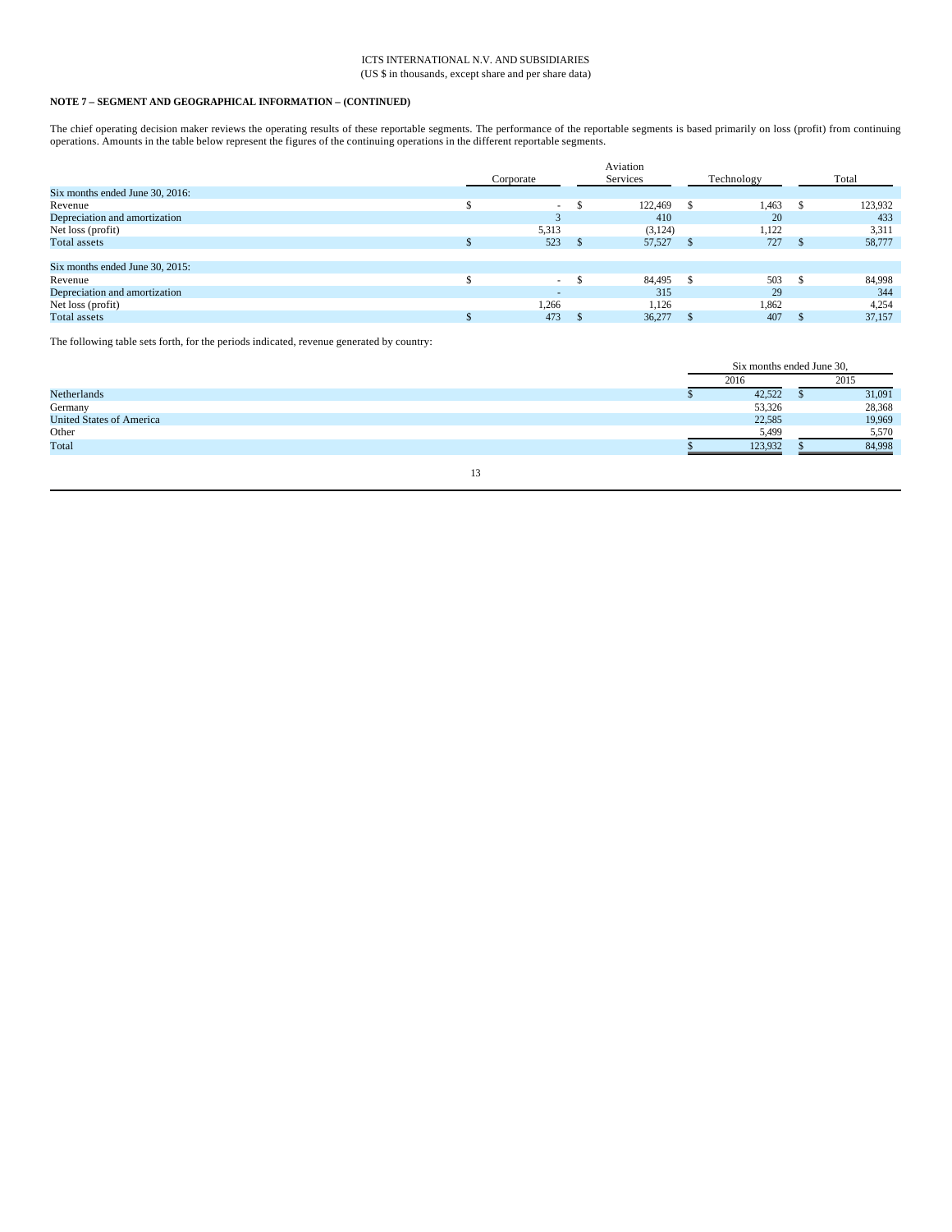# **NOTE 7 – SEGMENT AND GEOGRAPHICAL INFORMATION – (CONTINUED)**

The chief operating decision maker reviews the operating results of these reportable segments. The performance of the reportable segments is based primarily on loss (profit) from continuing operations. Amounts in the table below represent the figures of the continuing operations in the different reportable segments.

|                                 |            |    | Aviation |            |         |
|---------------------------------|------------|----|----------|------------|---------|
|                                 | Corporate  |    | Services | Technology | Total   |
| Six months ended June 30, 2016: |            |    |          |            |         |
| Revenue                         | $\sim$     | J. | 122,469  | 1,463      | 123,932 |
| Depreciation and amortization   | $\sqrt{2}$ |    | 410      | 20         | 433     |
| Net loss (profit)               | 5,313      |    | (3, 124) | 1,122      | 3,311   |
| Total assets                    | 523        |    | 57,527   | 727        | 58,777  |
|                                 |            |    |          |            |         |
| Six months ended June 30, 2015: |            |    |          |            |         |
| Revenue                         | $\sim$     |    | 84.495   | 503        | 84,998  |
| Depreciation and amortization   | $\sim$     |    | 315      | 29         | 344     |
| Net loss (profit)               | 1,266      |    | 1,126    | 1,862      | 4,254   |
| Total assets                    | 473        |    | 36,277   | 407        | 37,157  |
|                                 |            |    |          |            |         |

The following table sets forth, for the periods indicated, revenue generated by country:

|                                 |  | Six months ended June 30, |         |  |        |
|---------------------------------|--|---------------------------|---------|--|--------|
|                                 |  |                           | 2016    |  | 2015   |
| Netherlands                     |  |                           | 42,522  |  | 31,091 |
| Germany                         |  |                           | 53,326  |  | 28,368 |
| <b>United States of America</b> |  |                           | 22,585  |  | 19,969 |
| Other                           |  |                           | 5,499   |  | 5,570  |
| Total                           |  |                           | 123.932 |  | 84,998 |
|                                 |  |                           |         |  |        |
|                                 |  |                           |         |  |        |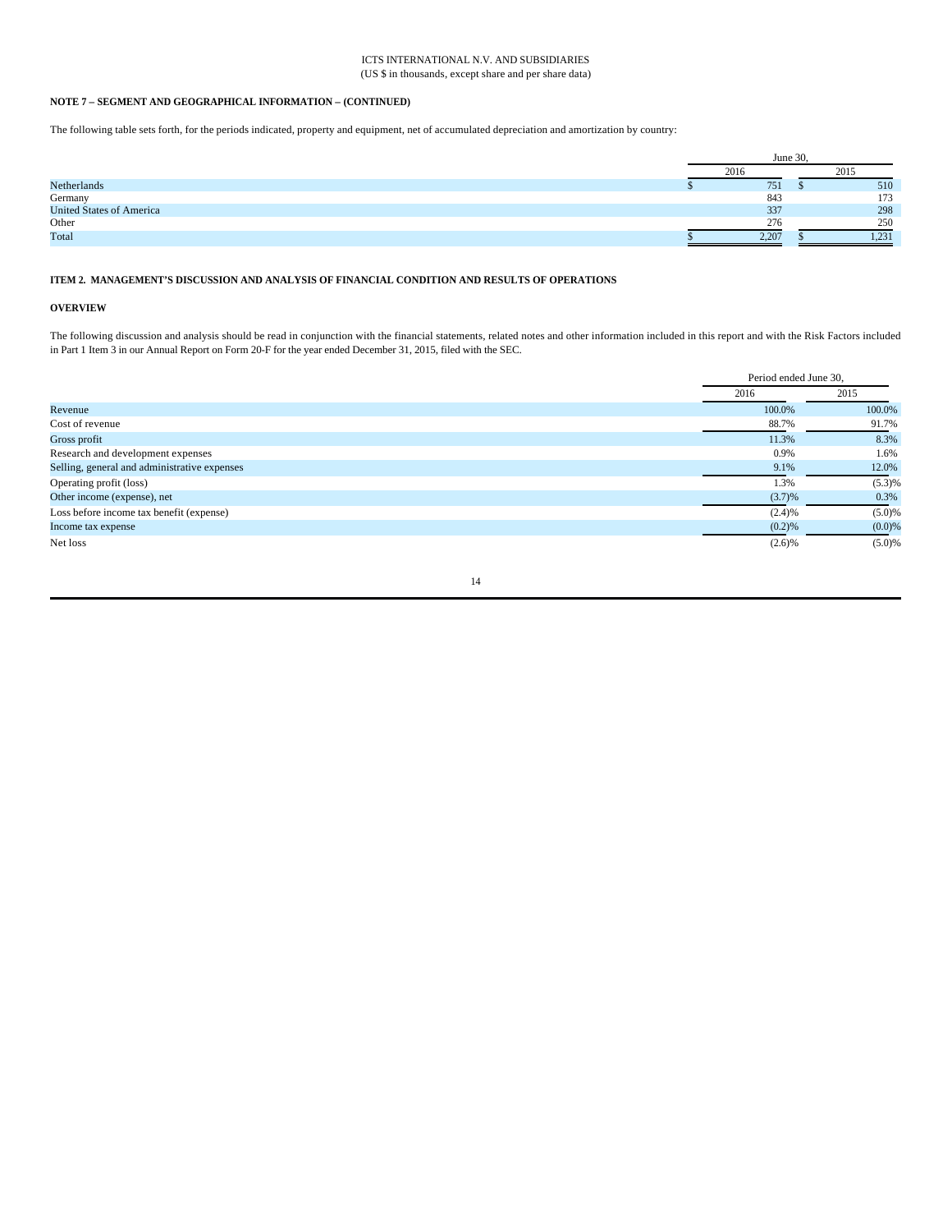# **NOTE 7 – SEGMENT AND GEOGRAPHICAL INFORMATION – (CONTINUED)**

The following table sets forth, for the periods indicated, property and equipment, net of accumulated depreciation and amortization by country:

|                                 | June 30, |  |       |  |
|---------------------------------|----------|--|-------|--|
|                                 | 2016     |  | 2015  |  |
| Netherlands                     | 751      |  | 510   |  |
| Germany                         | 843      |  | 173   |  |
| <b>United States of America</b> | 337      |  | 298   |  |
| Other                           | 276      |  | 250   |  |
| Total                           | 2,207    |  | 1,231 |  |

#### **ITEM 2. MANAGEMENT'S DISCUSSION AND ANALYSIS OF FINANCIAL CONDITION AND RESULTS OF OPERATIONS**

# **OVERVIEW**

The following discussion and analysis should be read in conjunction with the financial statements, related notes and other information included in this report and with the Risk Factors included in Part 1 Item 3 in our Annual Report on Form 20-F for the year ended December 31, 2015, filed with the SEC.

|                                              | Period ended June 30. |        |  |
|----------------------------------------------|-----------------------|--------|--|
|                                              | 2016                  | 2015   |  |
| Revenue                                      | 100.0%                | 100.0% |  |
| Cost of revenue                              | 88.7%                 | 91.7%  |  |
| Gross profit                                 | 11.3%                 | 8.3%   |  |
| Research and development expenses            | 0.9%                  | 1.6%   |  |
| Selling, general and administrative expenses | 9.1%                  | 12.0%  |  |
| Operating profit (loss)                      | 1.3%                  | (5.3)% |  |
| Other income (expense), net                  | (3.7)%                | 0.3%   |  |
| Loss before income tax benefit (expense)     | (2.4)%                | (5.0)% |  |
| Income tax expense                           | (0.2)%                | (0.0)% |  |
| Net loss                                     | (2.6)%                | (5.0)% |  |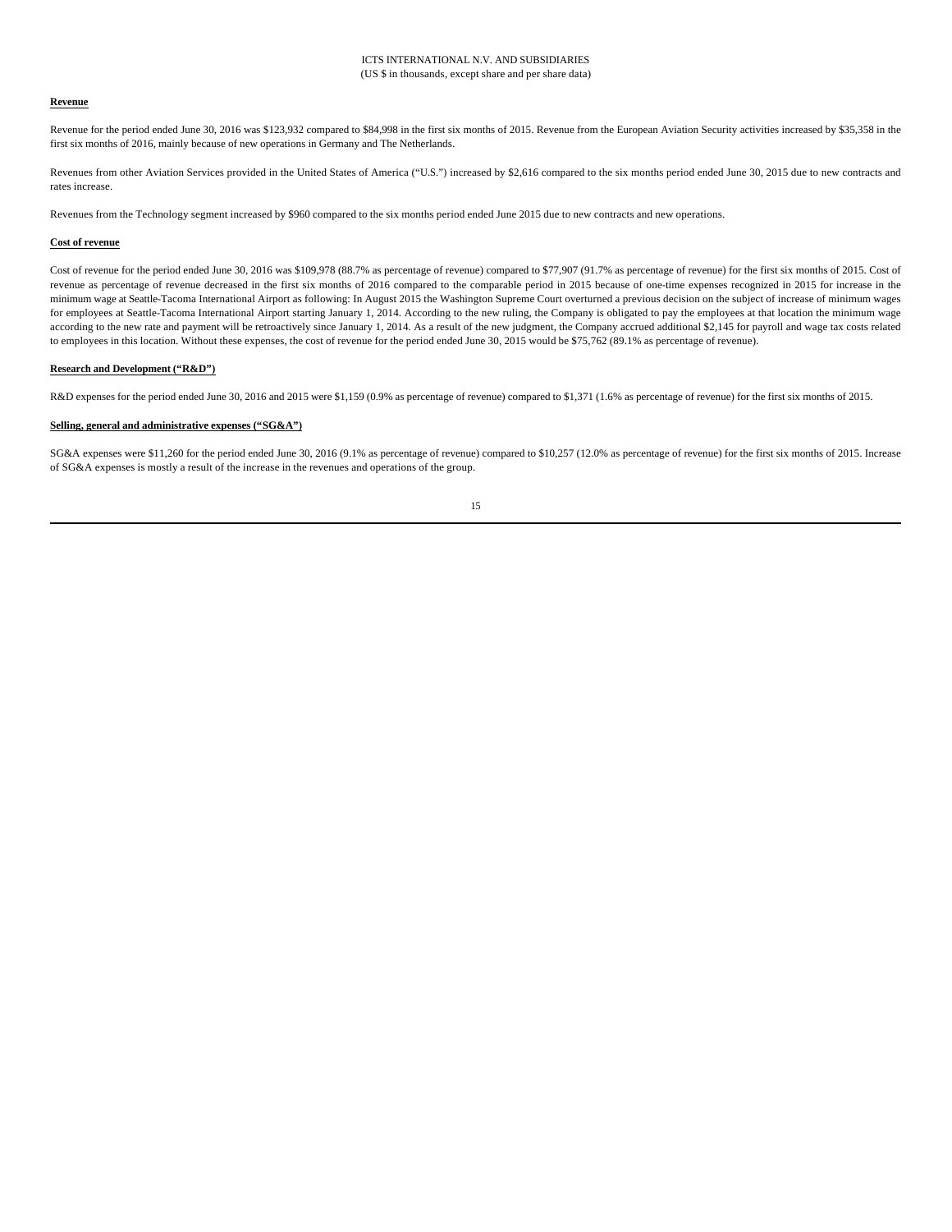#### **Revenue**

Revenue for the period ended June 30, 2016 was \$123,932 compared to \$84,998 in the first six months of 2015. Revenue from the European Aviation Security activities increased by \$35,358 in the first six months of 2016, mainly because of new operations in Germany and The Netherlands.

Revenues from other Aviation Services provided in the United States of America ("U.S.") increased by \$2,616 compared to the six months period ended June 30, 2015 due to new contracts and rates increase.

Revenues from the Technology segment increased by \$960 compared to the six months period ended June 2015 due to new contracts and new operations.

#### **Cost of revenue**

Cost of revenue for the period ended June 30, 2016 was \$109,978 (88.7% as percentage of revenue) compared to \$77,907 (91.7% as percentage of revenue) for the first six months of 2015. Cost of revenue as percentage of revenue decreased in the first six months of 2016 compared to the comparable period in 2015 because of one-time expenses recognized in 2015 for increase in the minimum wage at Seattle-Tacoma International Airport as following: In August 2015 the Washington Supreme Court overturned a previous decision on the subject of increase of minimum wages for employees at Seattle-Tacoma International Airport starting January 1, 2014. According to the new ruling, the Company is obligated to pay the employees at that location the minimum wage according to the new rate and payment will be retroactively since January 1, 2014. As a result of the new judgment, the Company accrued additional \$2,145 for payroll and wage tax costs related to employees in this location. Without these expenses, the cost of revenue for the period ended June 30, 2015 would be \$75,762 (89.1% as percentage of revenue).

#### **Research and Development ("R&D")**

R&D expenses for the period ended June 30, 2016 and 2015 were \$1,159 (0.9% as percentage of revenue) compared to \$1,371 (1.6% as percentage of revenue) for the first six months of 2015.

#### **Selling, general and administrative expenses ("SG&A")**

SG&A expenses were \$11,260 for the period ended June 30, 2016 (9.1% as percentage of revenue) compared to \$10,257 (12.0% as percentage of revenue) for the first six months of 2015. Increase of SG&A expenses is mostly a result of the increase in the revenues and operations of the group.

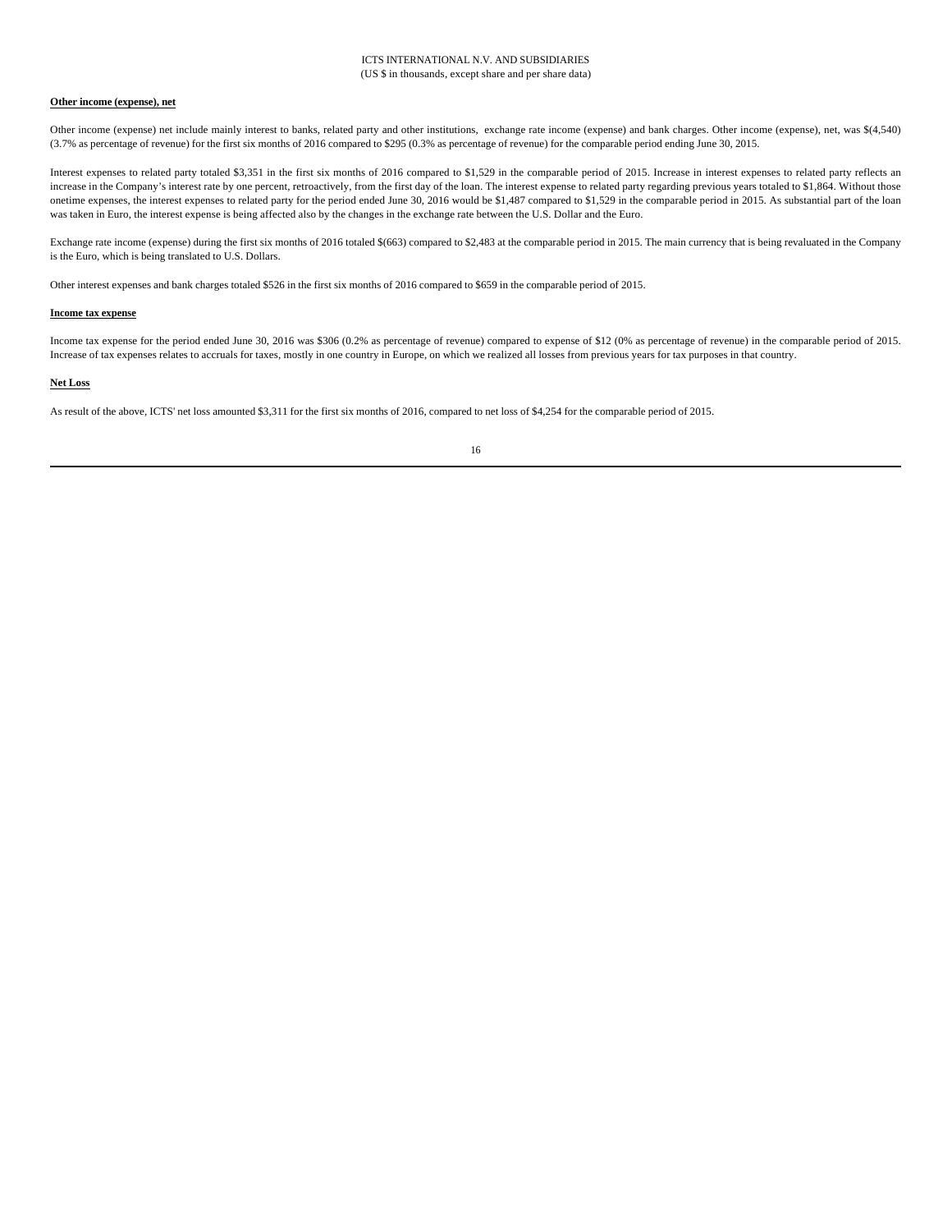# **Other income (expense), net**

Other income (expense) net include mainly interest to banks, related party and other institutions, exchange rate income (expense) and bank charges. Other income (expense), net, was \$(4,540) (3.7% as percentage of revenue) for the first six months of 2016 compared to \$295 (0.3% as percentage of revenue) for the comparable period ending June 30, 2015.

Interest expenses to related party totaled \$3,351 in the first six months of 2016 compared to \$1,529 in the comparable period of 2015. Increase in interest expenses to related party reflects an increase in the Company's interest rate by one percent, retroactively, from the first day of the loan. The interest expense to related party regarding previous years totaled to \$1,864. Without those onetime expenses, the interest expenses to related party for the period ended June 30, 2016 would be \$1,487 compared to \$1,529 in the comparable period in 2015. As substantial part of the loan was taken in Euro, the interest expense is being affected also by the changes in the exchange rate between the U.S. Dollar and the Euro.

Exchange rate income (expense) during the first six months of 2016 totaled \$(663) compared to \$2,483 at the comparable period in 2015. The main currency that is being revaluated in the Company is the Euro, which is being translated to U.S. Dollars.

Other interest expenses and bank charges totaled \$526 in the first six months of 2016 compared to \$659 in the comparable period of 2015.

#### **Income tax expense**

Income tax expense for the period ended June 30, 2016 was \$306 (0.2% as percentage of revenue) compared to expense of \$12 (0% as percentage of revenue) in the comparable period of 2015. Increase of tax expenses relates to accruals for taxes, mostly in one country in Europe, on which we realized all losses from previous years for tax purposes in that country.

#### **Net Loss**

As result of the above, ICTS' net loss amounted \$3,311 for the first six months of 2016, compared to net loss of \$4,254 for the comparable period of 2015.